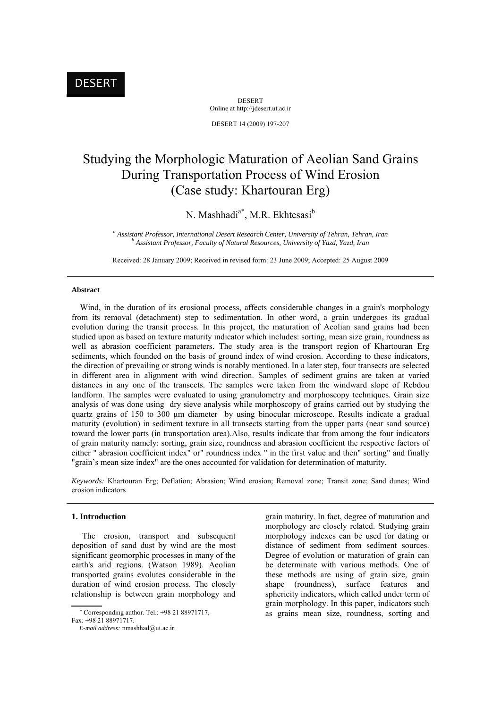DESERT Online at http://jdesert.ut.ac.ir

DESERT 14 (2009) 197-207

# Studying the Morphologic Maturation of Aeolian Sand Grains During Transportation Process of Wind Erosion (Case study: Khartouran Erg)

# N. Mashhadi<sup>a\*</sup>, M.R. Ekhtesasi<sup>b</sup>

<sup>a</sup> Assistant Professor, International Desert Research Center, University of Tehran, Tehran, Iran *b* Assistant Professor, Equilibri of Natural Peacureae, University of Vard, Vard, Iran  *Assistant Professor, Faculty of Natural Resources, University of Yazd, Yazd, Iran* 

Received: 28 January 2009; Received in revised form: 23 June 2009; Accepted: 25 August 2009

#### **Abstract**

 Wind, in the duration of its erosional process, affects considerable changes in a grain's morphology from its removal (detachment) step to sedimentation. In other word, a grain undergoes its gradual evolution during the transit process. In this project, the maturation of Aeolian sand grains had been studied upon as based on texture maturity indicator which includes: sorting, mean size grain, roundness as well as abrasion coefficient parameters. The study area is the transport region of Khartouran Erg sediments, which founded on the basis of ground index of wind erosion. According to these indicators, the direction of prevailing or strong winds is notably mentioned. In a later step, four transects are selected in different area in alignment with wind direction. Samples of sediment grains are taken at varied distances in any one of the transects. The samples were taken from the windward slope of Rebdou landform. The samples were evaluated to using granulometry and morphoscopy techniques. Grain size analysis of was done using dry sieve analysis while morphoscopy of grains carried out by studying the quartz grains of 150 to 300 μm diameter by using binocular microscope. Results indicate a gradual maturity (evolution) in sediment texture in all transects starting from the upper parts (near sand source) toward the lower parts (in transportation area).Also, results indicate that from among the four indicators of grain maturity namely: sorting, grain size, roundness and abrasion coefficient the respective factors of either " abrasion coefficient index" or" roundness index " in the first value and then" sorting" and finally "grain's mean size index" are the ones accounted for validation for determination of maturity.

*Keywords:* Khartouran Erg; Deflation; Abrasion; Wind erosion; Removal zone; Transit zone; Sand dunes; Wind erosion indicators

#### **1. Introduction**

 The erosion, transport and subsequent deposition of sand dust by wind are the most significant geomorphic processes in many of the earth's arid regions. (Watson 1989). Aeolian transported grains evolutes considerable in the duration of wind erosion process. The closely relationship is between grain morphology and

 Corresponding author. Tel.: +98 21 88971717,

Fax: +98 21 88971717.  *E-mail address:* nmashhad@ut.ac.ir

grain maturity. In fact, degree of maturation and morphology are closely related. Studying grain morphology indexes can be used for dating or distance of sediment from sediment sources. Degree of evolution or maturation of grain can be determinate with various methods. One of these methods are using of grain size, grain shape (roundness), surface features and sphericity indicators, which called under term of grain morphology. In this paper, indicators such as grains mean size, roundness, sorting and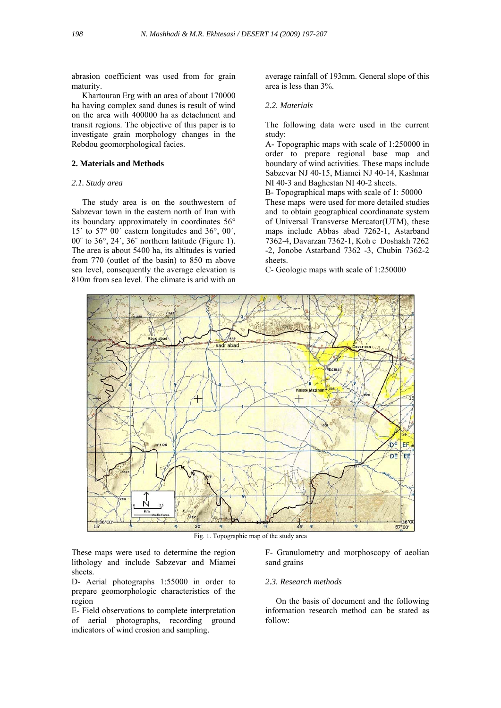abrasion coefficient was used from for grain maturity.

 Khartouran Erg with an area of about 170000 ha having complex sand dunes is result of wind on the area with 400000 ha as detachment and transit regions. The objective of this paper is to investigate grain morphology changes in the Rebdou geomorphological facies.

# **2. Materials and Methods**

# *2.1. Study area*

 The study area is on the southwestern of Sabzevar town in the eastern north of Iran with its boundary approximately in coordinates 56° 15´ to 57° 00´ eastern longitudes and 36°, 00´, 00˝ to 36°, 24´, 36˝ northern latitude (Figure 1). The area is about 5400 ha, its altitudes is varied from 770 (outlet of the basin) to 850 m above sea level, consequently the average elevation is 810m from sea level. The climate is arid with an

average rainfall of 193mm. General slope of this area is less than 3%.

### *2.2. Materials*

The following data were used in the current study:

A- Topographic maps with scale of 1:250000 in order to prepare regional base map and boundary of wind activities. These maps include Sabzevar NJ 40-15, Miamei NJ 40-14, Kashmar NI 40-3 and Baghestan NI 40-2 sheets.

B- Topographical maps with scale of 1: 50000 These maps were used for more detailed studies and to obtain geographical coordinanate system of Universal Transverse Mercator(UTM), these maps include Abbas abad 7262-1, Astarband 7362-4, Davarzan 7362-1, Koh e Doshakh 7262 -2, Jonobe Astarband 7362 -3, Chubin 7362-2 sheets.

C- Geologic maps with scale of 1:250000



Fig. 1. Topographic map of the study area

These maps were used to determine the region lithology and include Sabzevar and Miamei sheets.

D- Aerial photographs 1:55000 in order to prepare geomorphologic characteristics of the region

E- Field observations to complete interpretation of aerial photographs, recording ground indicators of wind erosion and sampling.

F- Granulometry and morphoscopy of aeolian sand grains

#### *2.3. Research methods*

 On the basis of document and the following information research method can be stated as follow: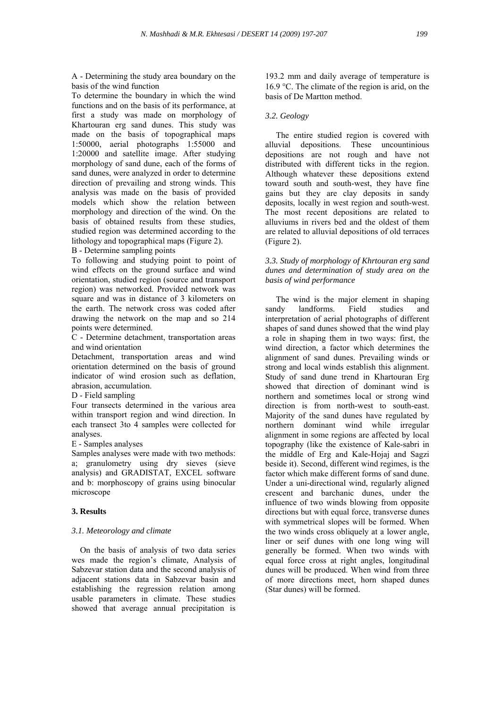A - Determining the study area boundary on the basis of the wind function

To determine the boundary in which the wind functions and on the basis of its performance, at first a study was made on morphology of Khartouran erg sand dunes. This study was made on the basis of topographical maps 1:50000, aerial photographs 1:55000 and 1:20000 and satellite image. After studying morphology of sand dune, each of the forms of sand dunes, were analyzed in order to determine direction of prevailing and strong winds. This analysis was made on the basis of provided models which show the relation between morphology and direction of the wind. On the basis of obtained results from these studies, studied region was determined according to the lithology and topographical maps (Figure 2).

B - Determine sampling points

To following and studying point to point of wind effects on the ground surface and wind orientation, studied region (source and transport region) was networked. Provided network was square and was in distance of 3 kilometers on the earth. The network cross was coded after drawing the network on the map and so 214 points were determined.

C - Determine detachment, transportation areas and wind orientation

Detachment, transportation areas and wind orientation determined on the basis of ground indicator of wind erosion such as deflation, abrasion, accumulation.

#### D - Field sampling

Four transects determined in the various area within transport region and wind direction. In each transect 3to 4 samples were collected for analyses.

E - Samples analyses

Samples analyses were made with two methods: a; granulometry using dry sieves (sieve analysis) and GRADISTAT, EXCEL software and b: morphoscopy of grains using binocular microscope

#### **3. Results**

#### *3.1. Meteorology and climate*

 On the basis of analysis of two data series wes made the region's climate, Analysis of Sabzevar station data and the second analysis of adjacent stations data in Sabzevar basin and establishing the regression relation among usable parameters in climate. These studies showed that average annual precipitation is 193.2 mm and daily average of temperature is 16.9  $\degree$ C. The climate of the region is arid, on the basis of De Martton method.

#### *3.2. Geology*

 The entire studied region is covered with alluvial depositions. These uncountinious depositions are not rough and have not distributed with different ticks in the region. Although whatever these depositions extend toward south and south-west, they have fine gains but they are clay deposits in sandy deposits, locally in west region and south-west. The most recent depositions are related to alluviums in rivers bed and the oldest of them are related to alluvial depositions of old terraces (Figure 2).

# *3.3. Study of morphology of Khrtouran erg sand dunes and determination of study area on the basis of wind performance*

 The wind is the major element in shaping sandy landforms. Field studies and interpretation of aerial photographs of different shapes of sand dunes showed that the wind play a role in shaping them in two ways: first, the wind direction, a factor which determines the alignment of sand dunes. Prevailing winds or strong and local winds establish this alignment. Study of sand dune trend in Khartouran Erg showed that direction of dominant wind is northern and sometimes local or strong wind direction is from north-west to south-east. Majority of the sand dunes have regulated by northern dominant wind while irregular alignment in some regions are affected by local topography (like the existence of Kale-sabri in the middle of Erg and Kale-Hojaj and Sagzi beside it). Second, different wind regimes, is the factor which make different forms of sand dune. Under a uni-directional wind, regularly aligned crescent and barchanic dunes, under the influence of two winds blowing from opposite directions but with equal force, transverse dunes with symmetrical slopes will be formed. When the two winds cross obliquely at a lower angle, liner or seif dunes with one long wing will generally be formed. When two winds with equal force cross at right angles, longitudinal dunes will be produced. When wind from three of more directions meet, horn shaped dunes (Star dunes) will be formed.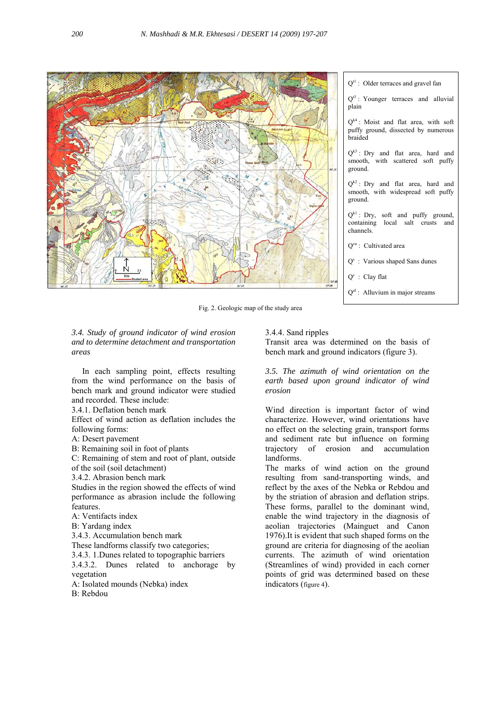

Fig. 2. Geologic map of the study area

# *3.4. Study of ground indicator of wind erosion and to determine detachment and transportation areas*

 In each sampling point, effects resulting from the wind performance on the basis of bench mark and ground indicator were studied and recorded. These include:

3.4.1. Deflation bench mark

Effect of wind action as deflation includes the following forms:

A: Desert pavement

B: Remaining soil in foot of plants

C: Remaining of stem and root of plant, outside of the soil (soil detachment)

3.4.2. Abrasion bench mark

Studies in the region showed the effects of wind performance as abrasion include the following features.

A: Ventifacts index

B: Yardang index

3.4.3. Accumulation bench mark

These landforms classify two categories;

3.4.3. 1.Dunes related to topographic barriers

3.4.3.2. Dunes related to anchorage by vegetation

A: Isolated mounds (Nebka) index

B: Rebdou

3.4.4. Sand ripples

Transit area was determined on the basis of bench mark and ground indicators (figure 3).

*3.5. The azimuth of wind orientation on the earth based upon ground indicator of wind erosion* 

Wind direction is important factor of wind characterize. However, wind orientations have no effect on the selecting grain, transport forms and sediment rate but influence on forming trajectory of erosion and accumulation landforms.

The marks of wind action on the ground resulting from sand-transporting winds, and reflect by the axes of the Nebka or Rebdou and by the striation of abrasion and deflation strips. These forms, parallel to the dominant wind, enable the wind trajectory in the diagnosis of aeolian trajectories (Mainguet and Canon 1976).It is evident that such shaped forms on the ground are criteria for diagnosing of the aeolian currents. The azimuth of wind orientation (Streamlines of wind) provided in each corner points of grid was determined based on these indicators (figure 4).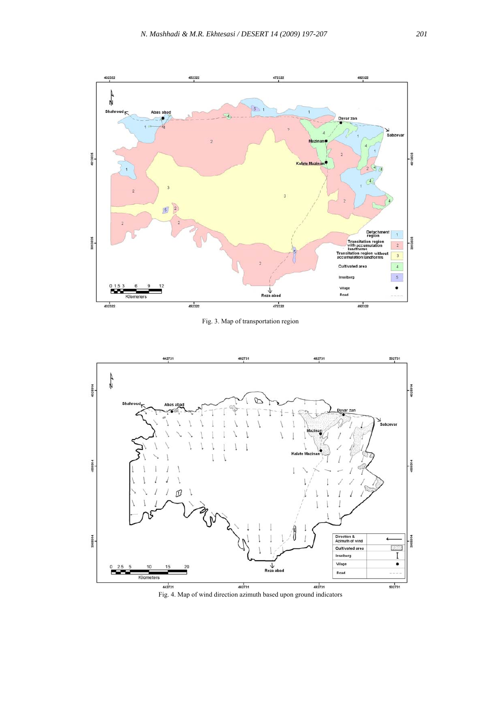

Fig. 3. Map of transportation region



Fig. 4. Map of wind direction azimuth based upon ground indicators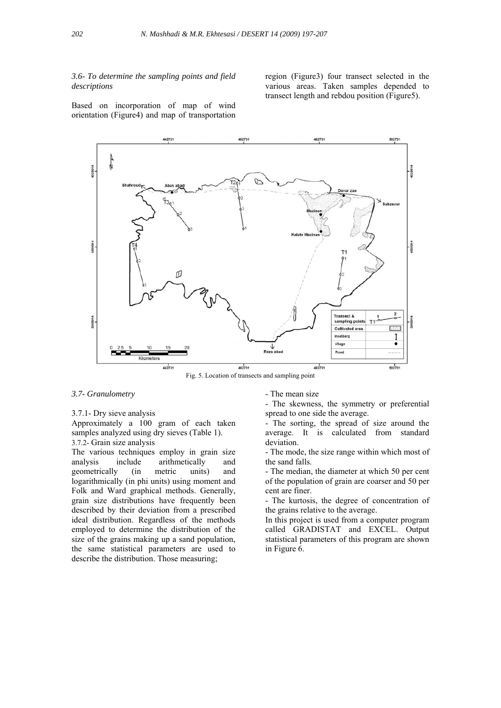#### *3.6- To determine the sampling points and field descriptions*

region (Figure3) four transect selected in the various areas. Taken samples depended to transect length and rebdou position (Figure5).

Based on incorporation of map of wind orientation (Figure4) and map of transportation



Fig. 5. Location of transects and sampling point

#### *3.7- Granulometry*

#### 3.7.1- Dry sieve analysis

Approximately a 100 gram of each taken samples analyzed using dry sieves (Table 1). 3.7.2- Grain size analysis

The various techniques employ in grain size analysis include arithmetically and geometrically (in metric units) and logarithmically (in phi units) using moment and Folk and Ward graphical methods. Generally, grain size distributions have frequently been described by their deviation from a prescribed ideal distribution. Regardless of the methods employed to determine the distribution of the size of the grains making up a sand population, the same statistical parameters are used to describe the distribution. Those measuring;

- The mean size

- The skewness, the symmetry or preferential spread to one side the average.

- The sorting, the spread of size around the average. It is calculated from standard deviation.

- The mode, the size range within which most of the sand falls.

- The median, the diameter at which 50 per cent of the population of grain are coarser and 50 per cent are finer.

- The kurtosis, the degree of concentration of the grains relative to the average.

In this project is used from a computer program called GRADISTAT and EXCEL. Output statistical parameters of this program are shown in Figure 6.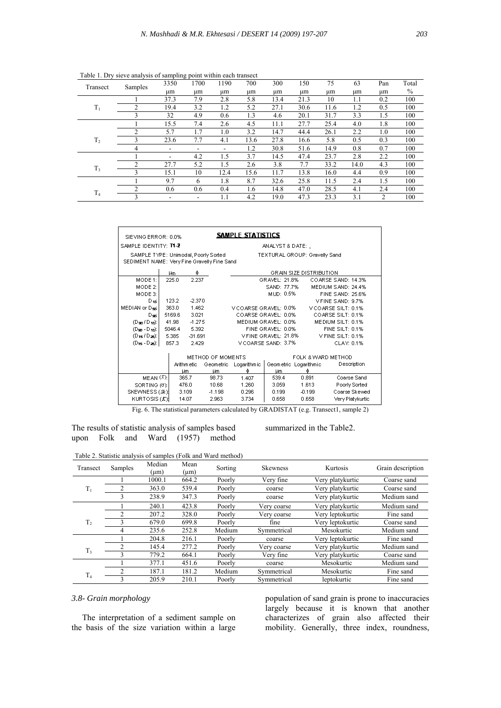| Transect       | Samples        | 3350                     | 1700 | 1190 | 700  | 300  | 150  | 75   | 63   | Pan | Total |
|----------------|----------------|--------------------------|------|------|------|------|------|------|------|-----|-------|
|                |                | μm                       | um   | um   | um   | um   | μm   | иm   | μm   | μm  | $\%$  |
|                |                | 37.3                     | 7.9  | 2.8  | 5.8  | 13.4 | 21.3 | 10   | 1.1  | 0.2 | 100   |
| $T_1$          | 2              | 19.4                     | 3.2  | 1.2  | 5.2  | 27.1 | 30.6 | 11.6 | 1.2  | 0.5 | 100   |
|                | 3              | 32                       | 4.9  | 0.6  | 1.3  | 4.6  | 20.1 | 31.7 | 3.3  | 1.5 | 100   |
|                |                | 15.5                     | 7.4  | 2.6  | 4.5  | 11.1 | 27.7 | 25.4 | 4.0  | 1.8 | 100   |
|                | 2              | 5.7                      | 1.7  | 1.0  | 3.2  | 14.7 | 44.4 | 26.1 | 2.2  | 1.0 | 100   |
| T <sub>2</sub> | 3              | 23.6                     | 7.7  | 4.1  | 13.6 | 27.8 | 16.6 | 5.8  | 0.5  | 0.3 | 100   |
|                | 4              | $\overline{\phantom{a}}$ | ۰    |      | 1.2  | 30.8 | 51.6 | 14.9 | 0.8  | 0.7 | 100   |
|                |                | $\overline{\phantom{a}}$ | 4.2  | 1.5  | 3.7  | 14.5 | 47.4 | 23.7 | 2.8  | 2.2 | 100   |
|                | 2              | 27.7                     | 5.2  | 1.5  | 2.6  | 3.8  | 7.7  | 33.2 | 14.0 | 4.3 | 100   |
| $T_3$          | 3              | 15.1                     | 10   | 12.4 | 15.6 | 11.7 | 13.8 | 16.0 | 4.4  | 0.9 | 100   |
|                |                | 9.7                      | 6    | 1.8  | 8.7  | 32.6 | 25.8 | 11.5 | 2.4  | 1.5 | 100   |
| T <sub>4</sub> | $\overline{c}$ | 0.6                      | 0.6  | 0.4  | 1.6  | 14.8 | 47.0 | 28.5 | 4.1  | 2.4 | 100   |
|                | 3              |                          |      | 1.1  | 4.2  | 19.0 | 47.3 | 23.3 | 3.1  | 2   | 100   |

Table 1. Dry sieve analysis of sampling point within each transect

| SAMPLE STATISTICS<br>SIEVING ERROR: 0.0% |                                                                                                                      |                                       |                   |          |                       |  |                                                  |                        |                         |                     |
|------------------------------------------|----------------------------------------------------------------------------------------------------------------------|---------------------------------------|-------------------|----------|-----------------------|--|--------------------------------------------------|------------------------|-------------------------|---------------------|
|                                          | SAMPLE IDENTITY: T1-2<br>ANALYST & DATE:,                                                                            |                                       |                   |          |                       |  |                                                  |                        |                         |                     |
|                                          | SAMPLE TYPE: Unimodal, Poorly Sorted<br>TEXTURAL GROUP: Gravelly Sand<br>SEDIMENT NAME: Very Fine Gravelly Fine Sand |                                       |                   |          |                       |  |                                                  |                        |                         |                     |
|                                          |                                                                                                                      | Hm                                    | Φ                 |          |                       |  |                                                  |                        | GRAIN SIZE DISTRIBUTION |                     |
| MODE 1:                                  |                                                                                                                      | 225.0                                 | 2.237             |          |                       |  | GRAVEL: 21.8%                                    |                        |                         | COARSE SAND: 14.3%  |
| MODE 2:                                  |                                                                                                                      |                                       |                   |          |                       |  | SAND: 77.7%                                      |                        |                         | MEDIUM SAND: 24.4%  |
| MODE 3:                                  |                                                                                                                      |                                       |                   |          |                       |  | MUD: 0.5%                                        |                        |                         | FINE SAND: 25.6%    |
| Digi                                     |                                                                                                                      | 123.2                                 | $-2.370$          |          |                       |  |                                                  |                        |                         | VEINE SAND: 9.7%    |
| MEDIAN or Dark                           |                                                                                                                      | 363.0                                 | 1.462             |          | V COARSE GRAVEL: 0.0% |  |                                                  |                        |                         | V COARSE SILT: 0.1% |
| Dani                                     |                                                                                                                      | 5169.6                                | 3.021             |          | COARSE GRAVEL: 0.0%   |  |                                                  |                        |                         | COARSE SILT: 0.1%   |
| $(D_{50}/D_{10})$ :                      |                                                                                                                      | 41.98                                 | $-1.275$          |          | MEDIUM GRAVEL: 0.0%   |  |                                                  |                        |                         | MEDIUM SILT: 0.1%   |
| $(D_{50} - D_{10})$ :                    |                                                                                                                      | 5046.4                                | 5.392             |          | FINE GRAVEL: 0.0%     |  |                                                  | <b>FINE SILT: 0.1%</b> |                         |                     |
| $(D_{15}/D_{25})$ :                      |                                                                                                                      | 5.385                                 | $-31.691$         |          | VEINE GRAVEL: 21.8%   |  |                                                  |                        | V FINE SILT: 0.1%       |                     |
| $(D_{15} - D_{25})$ :                    |                                                                                                                      | 857.3                                 | 2.429             |          | V COARSE SAND: 3.7%   |  |                                                  |                        |                         | CLAY: 0.1%          |
| Arithm etic                              |                                                                                                                      | METHOD OF MOMENTS<br>Geometric<br>Цm, | Logarithm ic<br>Ф |          |                       |  | FOLK & WARD METHOD<br>Geometric Logarithmic<br>Ф | Description            |                         |                     |
| MEAN $(\bar{x})$ :                       |                                                                                                                      |                                       | Цm<br>365.7       | 98.73    | 1.407                 |  | Цm<br>539.4                                      |                        | 0.891                   | Coarse Sand         |
| SORTING (σ):                             |                                                                                                                      |                                       | 476.0             | 10.68    | 1.260                 |  | 3.059                                            |                        | 1.613                   | Poorly Sorted       |
| SKEWNESS (Stell                          |                                                                                                                      |                                       | 3.109             | $-1.198$ | 0.296                 |  | 0.199                                            |                        | $-0.199$                | Coarse Skewed       |
| KURTOSIS (K)                             |                                                                                                                      |                                       | 14.07             | 2.963    | 3.734                 |  | 0.658                                            |                        | 0.658                   | Very Platykurtic    |

Fig. 6. The statistical parameters calculated by GRADISTAT (e.g. Transect1, sample 2)

The results of statistic analysis of samples based upon Folk and Ward (1957) method

summarized in the Table2.

|                |               |                |                   | r were $\equiv$ . Statistic and jois or samples (1 ont and $\pi$ are method) |             |                  |                   |
|----------------|---------------|----------------|-------------------|------------------------------------------------------------------------------|-------------|------------------|-------------------|
| Transect       | Samples       | Median<br>(um) | Mean<br>$(\mu m)$ | Sorting                                                                      | Skewness    | Kurtosis         | Grain description |
|                |               | 1000.1         | 664.2             | Poorly                                                                       | Very fine   | Very platykurtic | Coarse sand       |
| $T_1$          | 2             | 363.0          | 539.4             | Poorly                                                                       | coarse      | Very platykurtic | Coarse sand       |
|                | 3             | 238.9          | 347.3             | Poorly                                                                       | coarse      | Very platykurtic | Medium sand       |
|                |               | 240.1          | 423.8             | Poorly                                                                       | Very coarse | Verv platvkurtic | Medium sand       |
|                | 2             | 207.2          | 328.0             | Poorly                                                                       | Very coarse | Very leptokurtic | Fine sand         |
| T <sub>2</sub> | 3             | 679.0          | 699.8             | Poorly                                                                       | fine        | Very leptokurtic | Coarse sand       |
|                | 4             | 235.6          | 252.8             | Medium                                                                       | Symmetrical | Mesokurtic       | Medium sand       |
|                |               | 204.8          | 216.1             | Poorly                                                                       | coarse      | Verv leptokurtic | Fine sand         |
| $T_3$          | $\mathcal{L}$ | 145.4          | 277.2             | Poorly                                                                       | Very coarse | Very platykurtic | Medium sand       |
|                | 3             | 779.2          | 664.1             | Poorly                                                                       | Very fine   | Very platykurtic | Coarse sand       |
|                |               | 377.1          | 451.6             | Poorly                                                                       | coarse      | Mesokurtic       | Medium sand       |
| T <sub>4</sub> | 2             | 187.1          | 181.2             | Medium                                                                       | Symmetrical | Mesokurtic       | Fine sand         |
|                | 3             | 205.9          | 210.1             | Poorly                                                                       | Symmetrical | leptokurtic      | Fine sand         |

# *3.8- Grain morphology*

 The interpretation of a sediment sample on the basis of the size variation within a large

population of sand grain is prone to inaccuracies largely because it is known that another characterizes of grain also affected their mobility. Generally, three index, roundness,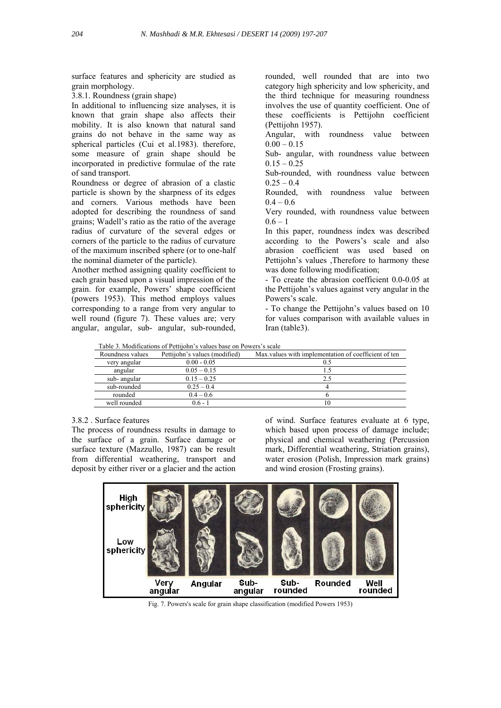surface features and sphericity are studied as grain morphology.

3.8.1. Roundness (grain shape)

In additional to influencing size analyses, it is known that grain shape also affects their mobility. It is also known that natural sand grains do not behave in the same way as spherical particles (Cui et al.1983). therefore, some measure of grain shape should be incorporated in predictive formulae of the rate of sand transport.

Roundness or degree of abrasion of a clastic particle is shown by the sharpness of its edges and corners. Various methods have been adopted for describing the roundness of sand grains; Wadell's ratio as the ratio of the average radius of curvature of the several edges or corners of the particle to the radius of curvature of the maximum inscribed sphere (or to one-half the nominal diameter of the particle).

Another method assigning quality coefficient to each grain based upon a visual impression of the grain. for example, Powers' shape coefficient (powers 1953). This method employs values corresponding to a range from very angular to well round (figure 7). These values are; very angular, angular, sub- angular, sub-rounded, rounded, well rounded that are into two category high sphericity and low sphericity, and the third technique for measuring roundness involves the use of quantity coefficient. One of these coefficients is Pettijohn coefficient (Pettijohn 1957).

Angular, with roundness value between  $0.00 - 0.15$ 

Sub- angular, with roundness value between  $0.15 - 0.25$ 

Sub-rounded, with roundness value between  $0.25 - 0.4$ 

Rounded, with roundness value between  $0.4 - 0.6$ 

Very rounded, with roundness value between  $0.6 - 1$ 

In this paper, roundness index was described according to the Powers's scale and also abrasion coefficient was used based on Pettijohn's values ,Therefore to harmony these was done following modification;

- To create the abrasion coefficient 0.0-0.05 at the Pettijohn's values against very angular in the Powers's scale.

- To change the Pettijohn's values based on 10 for values comparison with available values in Iran (table3).

Table 3. Modifications of Pettijohn's values base on Powers's scale

| Roundness values | Pettijohn's values (modified) | Max values with implementation of coefficient of ten |
|------------------|-------------------------------|------------------------------------------------------|
| very angular     | $0.00 - 0.05$                 |                                                      |
| angular          | $0.05 - 0.15$                 |                                                      |
| sub-angular      | $0.15 - 0.25$                 |                                                      |
| sub-rounded      | $0.25 - 0.4$                  |                                                      |
| rounded          | $0.4 - 0.6$                   |                                                      |
| well rounded     | $06 -$                        | 10                                                   |

#### 3.8.2 . Surface features

The process of roundness results in damage to the surface of a grain. Surface damage or surface texture (Mazzullo, 1987) can be result from differential weathering, transport and deposit by either river or a glacier and the action of wind. Surface features evaluate at 6 type, which based upon process of damage include; physical and chemical weathering (Percussion mark, Differential weathering, Striation grains), water erosion (Polish, Impression mark grains) and wind erosion (Frosting grains).



Fig. 7. Powers's scale for grain shape classification (modified Powers 1953)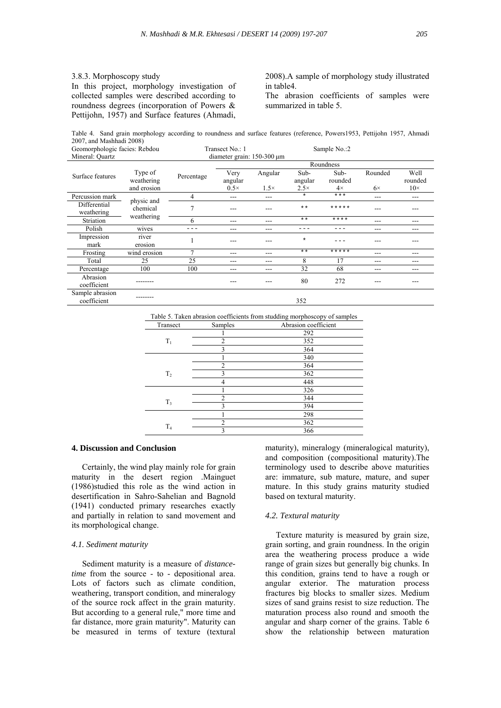# 3.8.3. Morphoscopy study

In this project, morphology investigation of collected samples were described according to roundness degrees (incorporation of Powers & Pettijohn, 1957) and Surface features (Ahmadi, 2008).A sample of morphology study illustrated in table4.

The abrasion coefficients of samples were summarized in table 5.

Table 4. Sand grain morphology according to roundness and surface features (reference, Powers1953, Pettijohn 1957, Ahmadi 2007, and Mashhadi 2008)

| Geomorphologic facies: Rebdou  |                                      | Transect No.: 1                 |                 |             | Sample No.:2    |                 |           |                 |
|--------------------------------|--------------------------------------|---------------------------------|-----------------|-------------|-----------------|-----------------|-----------|-----------------|
| Mineral: Quartz                |                                      | diameter grain: $150-300 \mu m$ |                 |             |                 |                 |           |                 |
|                                |                                      |                                 |                 |             |                 | Roundness       |           |                 |
| Surface features               | Type of<br>weathering                | Percentage                      | Very<br>angular | Angular     | Sub-<br>angular | Sub-<br>rounded | Rounded   | Well<br>rounded |
|                                | and erosion                          |                                 | $0.5\times$     | $1.5\times$ | $2.5\times$     | $4\times$       | $6\times$ | $10\times$      |
| Percussion mark                |                                      | 4                               | ---             | ---         | $\star$         | $***$           | ---       | $- - -$         |
| Differential<br>weathering     | physic and<br>chemical<br>weathering |                                 |                 |             | $***$           | *****           | ---       |                 |
| Striation                      |                                      | 6                               | $- - -$         | ---         | $***$           | $***$ *         | ---       |                 |
| Polish                         | wives                                |                                 | ---             |             |                 |                 | ---       | ---             |
| Impression<br>mark             | river<br>erosion                     |                                 |                 |             | $\star$         |                 | ---       |                 |
| Frosting                       | wind erosion                         | 7                               | $- - -$         | ---         | $\star\star$    | *****           | ---       | ---             |
| Total                          | 25                                   | 25                              | $- - -$         | ---         | 8               | 17              | ---       |                 |
| Percentage                     | 100                                  | 100                             | $- - -$         | ---         | 32              | 68              | ---       | $- - -$         |
| Abrasion<br>coefficient        |                                      |                                 |                 |             | 80              | 272             |           |                 |
| Sample abrasion<br>coefficient |                                      |                                 |                 |             | 352             |                 |           |                 |

Table 5. Taken abrasion coefficients from studding morphoscopy of samples

| Transect       | Samples        | Abrasion coefficient |
|----------------|----------------|----------------------|
|                |                | 292                  |
| $T_1$          | $\overline{2}$ | 352                  |
|                | 3              | 364                  |
|                |                | 340                  |
|                | ↑              | 364                  |
| T <sub>2</sub> | 3              | 362                  |
|                | 4              | 448                  |
|                |                | 326                  |
|                | ↑              | 344                  |
| $T_3$          | 3              | 394                  |
|                |                | 298                  |
|                | $\overline{c}$ | 362                  |
| T <sub>4</sub> | 3              | 366                  |

#### **4. Discussion and Conclusion**

 Certainly, the wind play mainly role for grain maturity in the desert region .Mainguet (1986)studied this role as the wind action in desertification in Sahro-Sahelian and Bagnold (1941) conducted primary researches exactly and partially in relation to sand movement and its morphological change.

#### *4.1. Sediment maturity*

 Sediment maturity is a measure of *distancetime* from the source - to - depositional area. Lots of factors such as climate condition, weathering, transport condition, and mineralogy of the source rock affect in the grain maturity. But according to a general rule," more time and far distance, more grain maturity". Maturity can be measured in terms of texture (textural maturity), mineralogy (mineralogical maturity), and composition (compositional maturity).The terminology used to describe above maturities are: immature, sub mature, mature, and super mature. In this study grains maturity studied based on textural maturity.

#### *4.2. Textural maturity*

 Texture maturity is measured by grain size, grain sorting, and grain roundness. In the origin area the weathering process produce a wide range of grain sizes but generally big chunks. In this condition, grains tend to have a rough or angular exterior. The maturation process fractures big blocks to smaller sizes. Medium sizes of sand grains resist to size reduction. The maturation process also round and smooth the angular and sharp corner of the grains. Table 6 show the relationship between maturation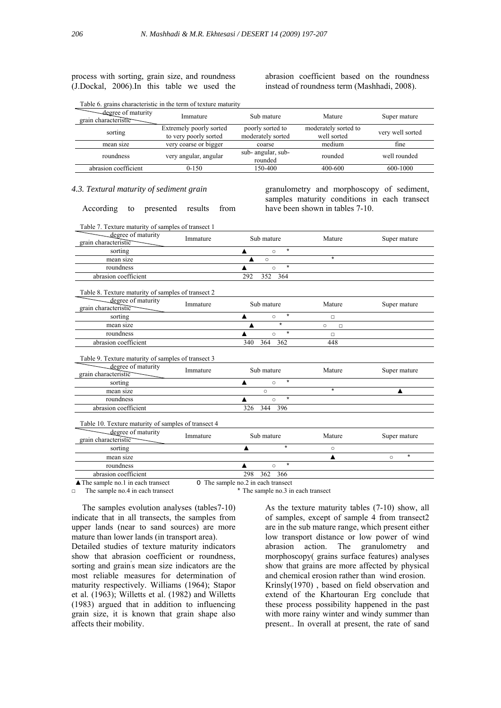#### process with sorting, grain size, and roundness (J.Dockal, 2006).In this table we used the

Table 6. grains characteristic in the term of texture maturity

abrasion coefficient based on the roundness instead of roundness term (Mashhadi, 2008).

| -degree of maturity<br>grain characteristic | Immature                                         | Sub mature                            | Mature                              | Super mature     |
|---------------------------------------------|--------------------------------------------------|---------------------------------------|-------------------------------------|------------------|
| sorting                                     | Extremely poorly sorted<br>to very poorly sorted | poorly sorted to<br>moderately sorted | moderately sorted to<br>well sorted | very well sorted |
| mean size                                   | very coarse or bigger                            | coarse                                | medium                              | fine             |
| roundness                                   | very angular, angular                            | sub-angular, sub-<br>rounded          | rounded                             | well rounded     |
| abrasion coefficient                        | $0-150$                                          | 150-400                               | 400-600                             | 600-1000         |

#### *4.3. Textural maturity of sediment grain*

According to presented results from

granulometry and morphoscopy of sediment, samples maturity conditions in each transect have been shown in tables 7-10.

| Table 7. Texture maturity of samples of transect 1                                               |          |                                    |                   |                    |
|--------------------------------------------------------------------------------------------------|----------|------------------------------------|-------------------|--------------------|
| degree of maturity<br>grain characteristic                                                       | Immature | Sub mature                         | Mature            | Super mature       |
| sorting                                                                                          |          | $\star$<br>▲<br>$\circ$            |                   |                    |
| mean size                                                                                        |          | $\circ$                            | $\star$           |                    |
| roundness                                                                                        |          | $\star$<br>$\circ$                 |                   |                    |
| abrasion coefficient                                                                             |          | 292<br>352<br>364                  |                   |                    |
| Table 8. Texture maturity of samples of transect 2                                               |          |                                    |                   |                    |
| degree of maturity<br>grain characteristic                                                       | Immature | Sub mature                         | Mature            | Super mature       |
| sorting                                                                                          |          | $^\star$<br>▲<br>$\circ$           | □                 |                    |
| mean size                                                                                        |          | $\star$                            | $\circ$<br>$\Box$ |                    |
| roundness                                                                                        |          | $^\star$<br>$\circ$                | $\Box$            |                    |
| abrasion coefficient                                                                             |          | 340<br>364<br>362                  | 448               |                    |
| Table 9. Texture maturity of samples of transect 3<br>degree of maturity<br>grain characteristic | Immature | Sub mature                         | Mature            | Super mature       |
| sorting                                                                                          |          | $\star$<br>$\circ$<br>▲            |                   |                    |
| mean size                                                                                        |          | $\circ$                            | $\star$           | ▲                  |
| roundness                                                                                        |          | $\star$<br>$\circ$<br>▲            |                   |                    |
| abrasion coefficient                                                                             |          | 326<br>344<br>396                  |                   |                    |
| Table 10. Texture maturity of samples of transect 4                                              |          |                                    |                   |                    |
| degree of maturity<br>grain characteristic                                                       | Immature | Sub mature                         | Mature            | Super mature       |
| sorting                                                                                          |          | $\star$                            | $\circ$           |                    |
| mean size                                                                                        |          |                                    | ▲                 | $^\ast$<br>$\circ$ |
| roundness                                                                                        |          | $\star$<br>$\circ$                 |                   |                    |
| abrasion coefficient                                                                             |          | 362<br>366<br>298                  |                   |                    |
| $\blacktriangle$ The sample no.1 in each transect                                                |          | O The sample no.2 in each transect |                   |                    |
| The sample no.4 in each transect                                                                 |          | * The sample no.3 in each transect |                   |                    |

□ The sample no.4 in each transect \* The sample no.3 in each transect

 The samples evolution analyses (tables7-10) indicate that in all transects, the samples from upper lands (near to sand sources) are more mature than lower lands (in transport area).

Detailed studies of texture maturity indicators show that abrasion coefficient or roundness, sorting and grain' s mean size indicators are the most reliable measures for determination of maturity respectively. Williams (1964); Stapor et al. (1963); Willetts et al. (1982) and Willetts (1983) argued that in addition to influencing grain size, it is known that grain shape also affects their mobility.

As the texture maturity tables (7-10) show, all of samples, except of sample 4 from transect2 are in the sub mature range, which present either low transport distance or low power of wind abrasion action. The granulometry and morphoscopy( grains surface features) analyses show that grains are more affected by physical and chemical erosion rather than wind erosion. Krinsly(1970) , based on field observation and extend of the Khartouran Erg conclude that these process possibility happened in the past with more rainy winter and windy summer than present.. In overall at present, the rate of sand